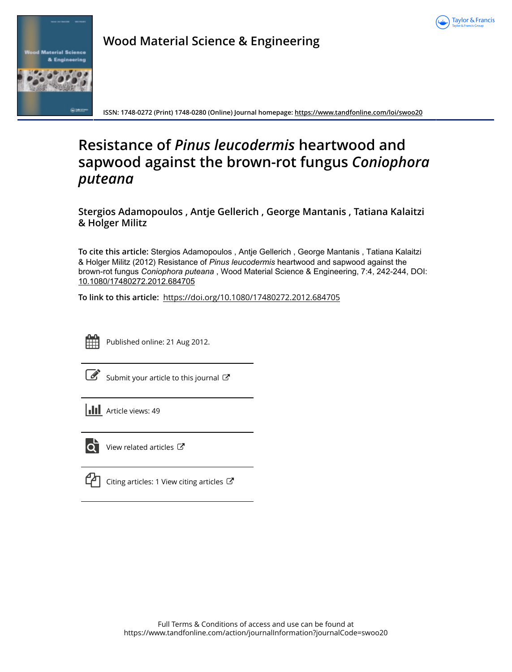



**Wood Material Science & Engineering**

**ISSN: 1748-0272 (Print) 1748-0280 (Online) Journal homepage:<https://www.tandfonline.com/loi/swoo20>**

# **Resistance of** *Pinus leucodermis* **heartwood and sapwood against the brown-rot fungus** *Coniophora puteana*

**Stergios Adamopoulos , Antje Gellerich , George Mantanis , Tatiana Kalaitzi & Holger Militz**

**To cite this article:** Stergios Adamopoulos , Antje Gellerich , George Mantanis , Tatiana Kalaitzi & Holger Militz (2012) Resistance of *Pinusleucodermis* heartwood and sapwood against the brown-rot fungus *Coniophoraputeana* , Wood Material Science & Engineering, 7:4, 242-244, DOI: [10.1080/17480272.2012.684705](https://www.tandfonline.com/action/showCitFormats?doi=10.1080/17480272.2012.684705)

**To link to this article:** <https://doi.org/10.1080/17480272.2012.684705>



Published online: 21 Aug 2012.

[Submit your article to this journal](https://www.tandfonline.com/action/authorSubmission?journalCode=swoo20&show=instructions)  $\mathbb{Z}$ 

**III** Article views: 49



 $\overline{\mathbf{Q}}$  [View related articles](https://www.tandfonline.com/doi/mlt/10.1080/17480272.2012.684705)  $\mathbf{C}$ 

 $\Box$  [Citing articles: 1 View citing articles](https://www.tandfonline.com/doi/citedby/10.1080/17480272.2012.684705#tabModule)  $\Box$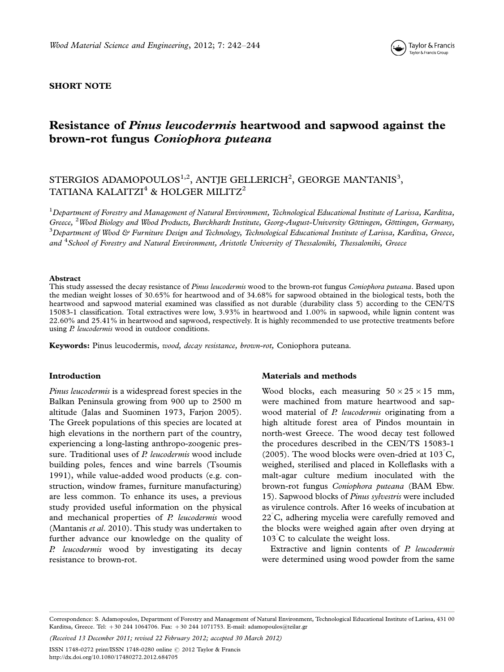

### SHORT NOTE

## Resistance of Pinus leucodermis heartwood and sapwood against the brown-rot fungus Coniophora puteana

## STERGIOS ADAMOPOULOS $^{1,2}$ , ANTJE GELLERICH $^{2}$ , GEORGE MANTANIS $^{3},$ TATIANA KALAITZI<sup>4</sup> & HOLGER MILITZ<sup>2</sup>

 $^1$ Department of Forestry and Management of Natural Environment, Technological Educational Institute of Larissa, Karditsa, Greece, <sup>2</sup>Wood Biology and Wood Products, Burckhardt Institute, Georg-August-University Göttingen, Göttingen, Germany,  $^3$ Department of Wood & Furniture Design and Technology, Technological Educational Institute of Larissa, Karditsa, Greece, and <sup>4</sup>School of Forestry and Natural Environment, Aristotle University of Thessaloniki, Thessaloniki, Greece

#### Abstract

This study assessed the decay resistance of Pinus leucodermis wood to the brown-rot fungus Coniophora puteana. Based upon the median weight losses of 30.65% for heartwood and of 34.68% for sapwood obtained in the biological tests, both the heartwood and sapwood material examined was classified as not durable (durability class 5) according to the CEN/TS 15083-1 classification. Total extractives were low, 3.93% in heartwood and 1.00% in sapwood, while lignin content was 22.60% and 25.41% in heartwood and sapwood, respectively. It is highly recommended to use protective treatments before using *P. leucodermis* wood in outdoor conditions.

Keywords: Pinus leucodermis, wood, decay resistance, brown-rot, Coniophora puteana.

#### Introduction

Pinus leucodermis is a widespread forest species in the Balkan Peninsula growing from 900 up to 2500 m altitude (Jalas and Suominen 1973, Farjon 2005). The Greek populations of this species are located at high elevations in the northern part of the country, experiencing a long-lasting anthropo-zoogenic pressure. Traditional uses of P. leucodermis wood include building poles, fences and wine barrels (Tsoumis 1991), while value-added wood products (e.g. construction, window frames, furniture manufacturing) are less common. To enhance its uses, a previous study provided useful information on the physical and mechanical properties of  $P$ . leucodermis wood (Mantanis et al. 2010). This study was undertaken to further advance our knowledge on the quality of P. leucodermis wood by investigating its decay resistance to brown-rot.

#### Materials and methods

Wood blocks, each measuring  $50 \times 25 \times 15$  mm, were machined from mature heartwood and sapwood material of P. leucodermis originating from a high altitude forest area of Pindos mountain in north-west Greece. The wood decay test followed the procedures described in the CEN/TS 15083-1 (2005). The wood blocks were oven-dried at  $103^{\circ}$ C, weighed, sterilised and placed in Kolleflasks with a malt-agar culture medium inoculated with the brown-rot fungus Coniophora puteana (BAM Ebw. 15). Sapwood blocks of Pinus sylvestris were included as virulence controls. After 16 weeks of incubation at  $22^{\degree}$ C, adhering mycelia were carefully removed and the blocks were weighed again after oven drying at  $103^{\circ}$ C to calculate the weight loss.

Extractive and lignin contents of P. leucodermis were determined using wood powder from the same

(Received 13 December 2011; revised 22 February 2012; accepted 30 March 2012)

ISSN 1748-0272 print/ISSN 1748-0280 online © 2012 Taylor & Francis <http://dx.doi.org/10.1080/17480272.2012.684705>

Correspondence: S. Adamopoulos, Department of Forestry and Management of Natural Environment, Technological Educational Institute of Larissa, 431 00 Karditsa, Greece. Tel: -30 244 1064706. Fax: -30 244 1071753. E-mail: adamopoulos@teilar.gr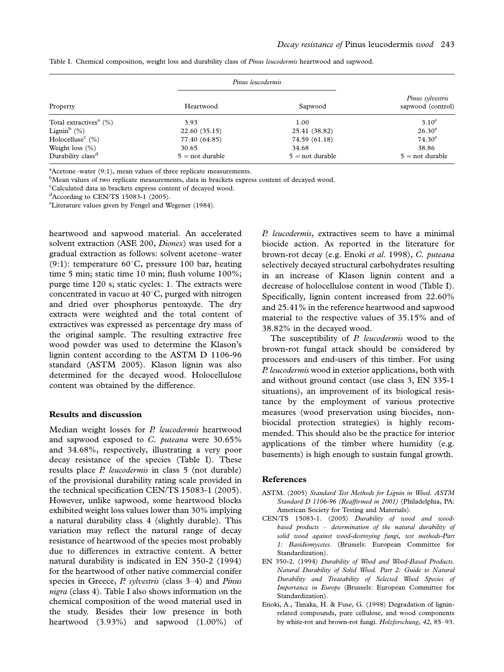| Property                                        | Pinus leucodermis    |                      |                                       |
|-------------------------------------------------|----------------------|----------------------|---------------------------------------|
|                                                 | Heartwood            | Sapwood              | Pinus sylvestris<br>sapwood (control) |
| Total extractives <sup><math>a</math></sup> (%) | 3.93                 | 1.00                 | $3.10^e$                              |
| Lignin <sup>b</sup> $(\%)$                      | 22.60(35.15)         | 25.41 (38.82)        | $26.30^{\circ}$                       |
| Holocelluse <sup>c</sup> $(\% )$                | 77.40 (64.85)        | 74.59 (61.18)        | $74.30^{\circ}$                       |
| Weight loss $(\% )$                             | 30.65                | 34.68                | 38.86                                 |
| Durability class <sup>d</sup>                   | $5 = not \, durable$ | $5 = not \, durable$ | $5 = not \, durable$                  |

Table I. Chemical composition, weight loss and durability class of Pinus leucodermis heartwood and sapwood.

 $A^{\text{a}}$ Acetone–water (9:1), mean values of three replicate measurements.

<sup>b</sup>Mean values of two replicate measurements, data in brackets express content of decayed wood.

<sup>c</sup>Calculated data in brackets express content of decayed wood.

 $d$ According to CEN/TS 15083-1 (2005).

e Literature values given by Fengel and Wegener (1984).

heartwood and sapwood material. An accelerated solvent extraction (ASE 200, *Dionex*) was used for a gradual extraction as follows: solvent acetone-water (9:1): temperature  $60^{\circ}$ C, pressure 100 bar, heating time 5 min; static time 10 min; flush volume 100%; purge time 120 s; static cycles: 1. The extracts were concentrated in vacuo at  $40^{\circ}$ C, purged with nitrogen and dried over phosphorus pentoxyde. The dry extracts were weighted and the total content of extractives was expressed as percentage dry mass of the original sample. The resulting extractive free wood powder was used to determine the Klason's lignin content according to the ASTM D 1106-96 standard (ASTM 2005). Klason lignin was also determined for the decayed wood. Holocellulose content was obtained by the difference.

#### Results and discussion

Median weight losses for P. leucodermis heartwood and sapwood exposed to C. puteana were 30.65% and 34.68%, respectively, illustrating a very poor decay resistance of the species (Table I). These results place P. leucodermis in class 5 (not durable) of the provisional durability rating scale provided in the technical specification CEN/TS 15083-1 (2005). However, unlike sapwood, some heartwood blocks exhibited weight loss values lower than 30% implying a natural durability class 4 (slightly durable). This variation may reflect the natural range of decay resistance of heartwood of the species most probably due to differences in extractive content. A better natural durability is indicated in EN 350-2 (1994) for the heartwood of other native commercial conifer species in Greece,  $P$  sylvestris (class 3–4) and Pinus nigra (class 4). Table I also shows information on the chemical composition of the wood material used in the study. Besides their low presence in both heartwood (3.93%) and sapwood (1.00%) of P. leucodermis, extractives seem to have a minimal biocide action. As reported in the literature for brown-rot decay (e.g. Enoki et al. 1998), C. puteana selectively decayed structural carbohydrates resulting in an increase of Klason lignin content and a decrease of holocellulose content in wood (Table I). Specifically, lignin content increased from 22.60% and 25.41% in the reference heartwood and sapwood material to the respective values of 35.15% and of 38.82% in the decayed wood.

The susceptibility of P. leucodermis wood to the brown-rot fungal attack should be considered by processors and end-users of this timber. For using P. leucodermis wood in exterior applications, both with and without ground contact (use class 3, EN 335-1 situations), an improvement of its biological resistance by the employment of various protective measures (wood preservation using biocides, nonbiocidal protection strategies) is highly recommended. This should also be the practice for interior applications of the timber where humidity (e.g. basements) is high enough to sustain fungal growth.

#### References

- ASTM. (2005) Standard Test Methods for Lignin in Wood. ASTM Standard D 1106-96 (Reaffirmed in 2001) (Philadelphia, PA: American Society for Testing and Materials).
- CEN/TS 15083-1. (2005) Durability of wood and woodbased products  $-$  determination of the natural durability of solid wood against wood-destroying fungi, test methods-Part 1: Basidiomycetes. (Brussels: European Committee for Standardization).
- EN 350-2. (1994) Durability of Wood and Wood-Based Products. Natural Durability of Solid Wood. Part 2: Guide to Natural Durability and Treatability of Selected Wood Species of Importance in Europe (Brussels: European Committee for Standardization).
- Enoki, A., Tanaka, H. & Fuse, G. (1998) Degradation of ligninrelated compounds, pure cellulose, and wood components by white-rot and brown-rot fungi. Holzforschung, 42, 85-93.